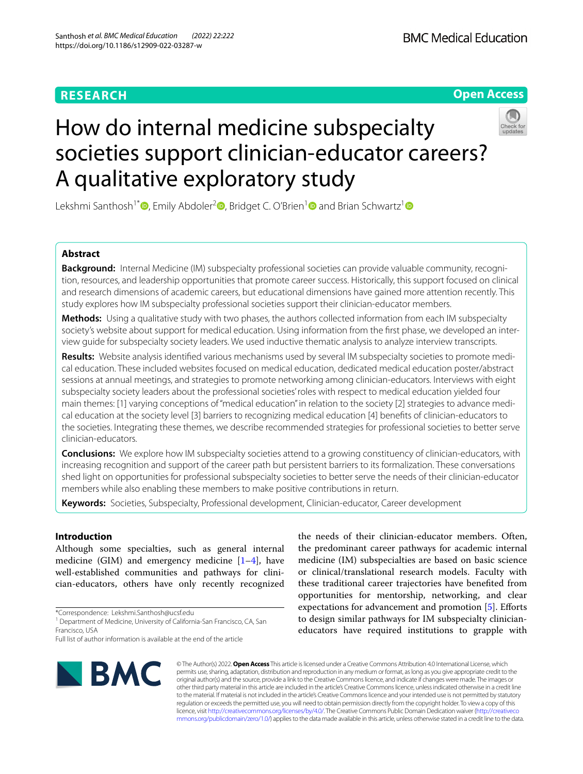# **RESEARCH**

## **Open Access**



# How do internal medicine subspecialty societies support clinician-educator careers? A qualitative exploratory study

Lekshmi Santhosh<sup>1[\\*](https://orcid.org/0000-0002-9897-3462)</sup><sup>®</sup>[,](https://orcid.org/0000-0002-0938-0527) Emily Abdoler<sup>2</sup><sup>®</sup>, Bridget C. O'Brien<sup>[1](https://orcid.org/0000-0003-2852-6808)</sup><sup>®</sup> and Brian Schwartz<sup>1</sup><sup>®</sup>

## **Abstract**

**Background:** Internal Medicine (IM) subspecialty professional societies can provide valuable community, recognition, resources, and leadership opportunities that promote career success. Historically, this support focused on clinical and research dimensions of academic careers, but educational dimensions have gained more attention recently. This study explores how IM subspecialty professional societies support their clinician-educator members.

**Methods:** Using a qualitative study with two phases, the authors collected information from each IM subspecialty society's website about support for medical education. Using information from the frst phase, we developed an interview guide for subspecialty society leaders. We used inductive thematic analysis to analyze interview transcripts.

**Results:** Website analysis identifed various mechanisms used by several IM subspecialty societies to promote medical education. These included websites focused on medical education, dedicated medical education poster/abstract sessions at annual meetings, and strategies to promote networking among clinician-educators. Interviews with eight subspecialty society leaders about the professional societies' roles with respect to medical education yielded four main themes: [1] varying conceptions of "medical education" in relation to the society [2] strategies to advance medical education at the society level [3] barriers to recognizing medical education [4] benefts of clinician-educators to the societies. Integrating these themes, we describe recommended strategies for professional societies to better serve clinician-educators.

**Conclusions:** We explore how IM subspecialty societies attend to a growing constituency of clinician-educators, with increasing recognition and support of the career path but persistent barriers to its formalization. These conversations shed light on opportunities for professional subspecialty societies to better serve the needs of their clinician-educator members while also enabling these members to make positive contributions in return.

**Keywords:** Societies, Subspecialty, Professional development, Clinician-educator, Career development

## **Introduction**

Although some specialties, such as general internal medicine (GIM) and emergency medicine  $[1-4]$  $[1-4]$  $[1-4]$ , have well-established communities and pathways for clinician-educators, others have only recently recognized

\*Correspondence: Lekshmi.Santhosh@ucsf.edu

Full list of author information is available at the end of the article



the needs of their clinician-educator members. Often, the predominant career pathways for academic internal medicine (IM) subspecialties are based on basic science or clinical/translational research models. Faculty with these traditional career trajectories have benefted from opportunities for mentorship, networking, and clear expectations for advancement and promotion [\[5](#page-6-2)]. Efforts to design similar pathways for IM subspecialty clinicianeducators have required institutions to grapple with

© The Author(s) 2022. **Open Access** This article is licensed under a Creative Commons Attribution 4.0 International License, which permits use, sharing, adaptation, distribution and reproduction in any medium or format, as long as you give appropriate credit to the original author(s) and the source, provide a link to the Creative Commons licence, and indicate if changes were made. The images or other third party material in this article are included in the article's Creative Commons licence, unless indicated otherwise in a credit line to the material. If material is not included in the article's Creative Commons licence and your intended use is not permitted by statutory regulation or exceeds the permitted use, you will need to obtain permission directly from the copyright holder. To view a copy of this licence, visit [http://creativecommons.org/licenses/by/4.0/.](http://creativecommons.org/licenses/by/4.0/) The Creative Commons Public Domain Dedication waiver ([http://creativeco](http://creativecommons.org/publicdomain/zero/1.0/) [mmons.org/publicdomain/zero/1.0/](http://creativecommons.org/publicdomain/zero/1.0/)) applies to the data made available in this article, unless otherwise stated in a credit line to the data.

<sup>&</sup>lt;sup>1</sup> Department of Medicine, University of California-San Francisco, CA, San Francisco, USA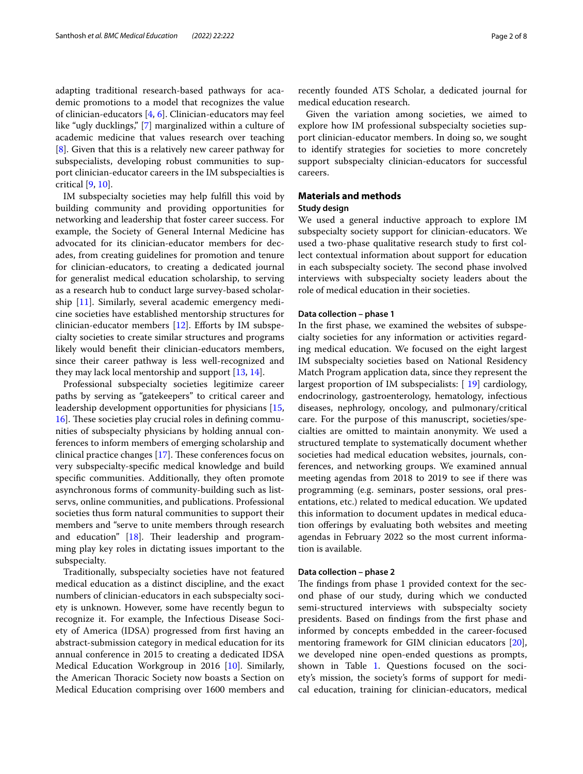adapting traditional research-based pathways for academic promotions to a model that recognizes the value of clinician-educators [\[4](#page-6-1), [6\]](#page-6-3). Clinician-educators may feel like "ugly ducklings," [\[7](#page-6-4)] marginalized within a culture of academic medicine that values research over teaching [[8\]](#page-7-0). Given that this is a relatively new career pathway for subspecialists, developing robust communities to support clinician-educator careers in the IM subspecialties is critical [[9](#page-7-1), [10\]](#page-7-2).

IM subspecialty societies may help fulfll this void by building community and providing opportunities for networking and leadership that foster career success. For example, the Society of General Internal Medicine has advocated for its clinician-educator members for decades, from creating guidelines for promotion and tenure for clinician-educators, to creating a dedicated journal for generalist medical education scholarship, to serving as a research hub to conduct large survey-based scholarship [\[11\]](#page-7-3). Similarly, several academic emergency medicine societies have established mentorship structures for clinician-educator members  $[12]$  $[12]$ . Efforts by IM subspecialty societies to create similar structures and programs likely would beneft their clinician-educators members, since their career pathway is less well-recognized and they may lack local mentorship and support [[13,](#page-7-5) [14](#page-7-6)].

Professional subspecialty societies legitimize career paths by serving as "gatekeepers" to critical career and leadership development opportunities for physicians [\[15](#page-7-7), [16\]](#page-7-8). These societies play crucial roles in defining communities of subspecialty physicians by holding annual conferences to inform members of emerging scholarship and clinical practice changes  $[17]$  $[17]$ . These conferences focus on very subspecialty-specifc medical knowledge and build specifc communities. Additionally, they often promote asynchronous forms of community-building such as listservs, online communities, and publications. Professional societies thus form natural communities to support their members and "serve to unite members through research and education"  $[18]$  $[18]$ . Their leadership and programming play key roles in dictating issues important to the subspecialty.

Traditionally, subspecialty societies have not featured medical education as a distinct discipline, and the exact numbers of clinician-educators in each subspecialty society is unknown. However, some have recently begun to recognize it. For example, the Infectious Disease Society of America (IDSA) progressed from frst having an abstract-submission category in medical education for its annual conference in 2015 to creating a dedicated IDSA Medical Education Workgroup in 2016 [[10](#page-7-2)]. Similarly, the American Thoracic Society now boasts a Section on Medical Education comprising over 1600 members and recently founded ATS Scholar, a dedicated journal for medical education research.

Given the variation among societies, we aimed to explore how IM professional subspecialty societies support clinician-educator members. In doing so, we sought to identify strategies for societies to more concretely support subspecialty clinician-educators for successful careers.

## **Materials and methods**

## **Study design**

We used a general inductive approach to explore IM subspecialty society support for clinician-educators. We used a two-phase qualitative research study to frst collect contextual information about support for education in each subspecialty society. The second phase involved interviews with subspecialty society leaders about the role of medical education in their societies.

### **Data collection – phase 1**

In the frst phase, we examined the websites of subspecialty societies for any information or activities regarding medical education. We focused on the eight largest IM subspecialty societies based on National Residency Match Program application data, since they represent the largest proportion of IM subspecialists: [ [19\]](#page-7-11) cardiology, endocrinology, gastroenterology, hematology, infectious diseases, nephrology, oncology, and pulmonary/critical care. For the purpose of this manuscript, societies/specialties are omitted to maintain anonymity. We used a structured template to systematically document whether societies had medical education websites, journals, conferences, and networking groups. We examined annual meeting agendas from 2018 to 2019 to see if there was programming (e.g. seminars, poster sessions, oral presentations, etc.) related to medical education. We updated this information to document updates in medical education oferings by evaluating both websites and meeting agendas in February 2022 so the most current information is available.

## **Data collection – phase 2**

The findings from phase 1 provided context for the second phase of our study, during which we conducted semi-structured interviews with subspecialty society presidents. Based on fndings from the frst phase and informed by concepts embedded in the career-focused mentoring framework for GIM clinician educators [\[20](#page-7-12)], we developed nine open-ended questions as prompts, shown in Table [1](#page-2-0). Questions focused on the society's mission, the society's forms of support for medical education, training for clinician-educators, medical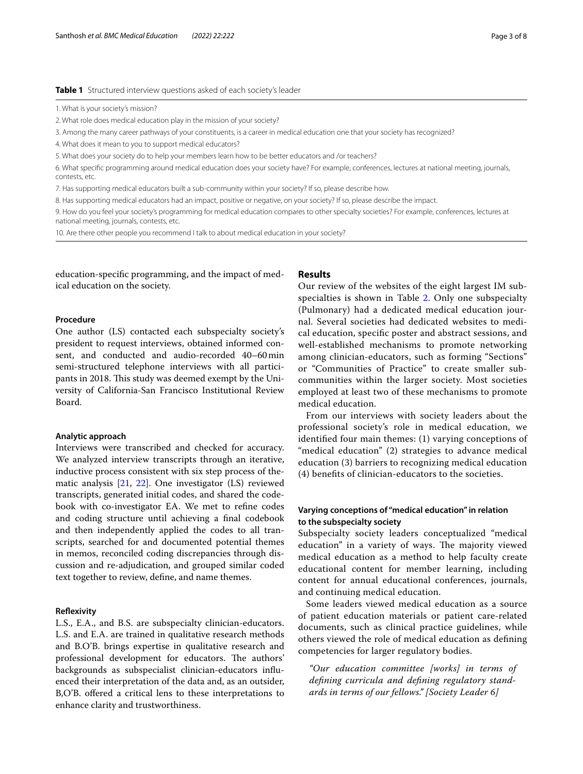## <span id="page-2-0"></span>**Table 1** Structured interview questions asked of each society's leader

2. What role does medical education play in the mission of your society?

3. Among the many career pathways of your constituents, is a career in medical education one that your society has recognized?

4. What does it mean to you to support medical educators?

5. What does your society do to help your members learn how to be better educators and /or teachers?

6. What specifc programming around medical education does your society have? For example, conferences, lectures at national meeting, journals, contests, etc.

7. Has supporting medical educators built a sub-community within your society? If so, please describe how.

8. Has supporting medical educators had an impact, positive or negative, on your society? If so, please describe the impact.

9. How do you feel your society's programming for medical education compares to other specialty societies? For example, conferences, lectures at national meeting, journals, contests, etc.

10. Are there other people you recommend I talk to about medical education in your society?

education-specifc programming, and the impact of medical education on the society.

## **Results**

## **Procedure**

One author (LS) contacted each subspecialty society's president to request interviews, obtained informed consent, and conducted and audio-recorded 40–60min semi-structured telephone interviews with all participants in 2018. This study was deemed exempt by the University of California-San Francisco Institutional Review Board.

## **Analytic approach**

Interviews were transcribed and checked for accuracy. We analyzed interview transcripts through an iterative, inductive process consistent with six step process of thematic analysis [[21,](#page-7-13) [22\]](#page-7-14). One investigator (LS) reviewed transcripts, generated initial codes, and shared the codebook with co-investigator EA. We met to refne codes and coding structure until achieving a fnal codebook and then independently applied the codes to all transcripts, searched for and documented potential themes in memos, reconciled coding discrepancies through discussion and re-adjudication, and grouped similar coded text together to review, defne, and name themes.

#### **Refexivity**

L.S., E.A., and B.S. are subspecialty clinician-educators. L.S. and E.A. are trained in qualitative research methods and B.O'B. brings expertise in qualitative research and professional development for educators. The authors' backgrounds as subspecialist clinician-educators infuenced their interpretation of the data and, as an outsider, B,O'B. offered a critical lens to these interpretations to enhance clarity and trustworthiness.

Our review of the websites of the eight largest IM sub-specialties is shown in Table [2](#page-3-0). Only one subspecialty (Pulmonary) had a dedicated medical education journal. Several societies had dedicated websites to medical education, specifc poster and abstract sessions, and well-established mechanisms to promote networking among clinician-educators, such as forming "Sections" or "Communities of Practice" to create smaller subcommunities within the larger society. Most societies employed at least two of these mechanisms to promote medical education.

From our interviews with society leaders about the professional society's role in medical education, we identifed four main themes: (1) varying conceptions of "medical education" (2) strategies to advance medical education (3) barriers to recognizing medical education (4) benefts of clinician-educators to the societies.

## **Varying conceptions of "medical education" in relation to the subspecialty society**

Subspecialty society leaders conceptualized "medical education" in a variety of ways. The majority viewed medical education as a method to help faculty create educational content for member learning, including content for annual educational conferences, journals, and continuing medical education.

Some leaders viewed medical education as a source of patient education materials or patient care-related documents, such as clinical practice guidelines, while others viewed the role of medical education as defning competencies for larger regulatory bodies.

*"Our education committee [works] in terms of defning curricula and defning regulatory standards in terms of our fellows." [Society Leader 6]*

<sup>1.</sup> What is your society's mission?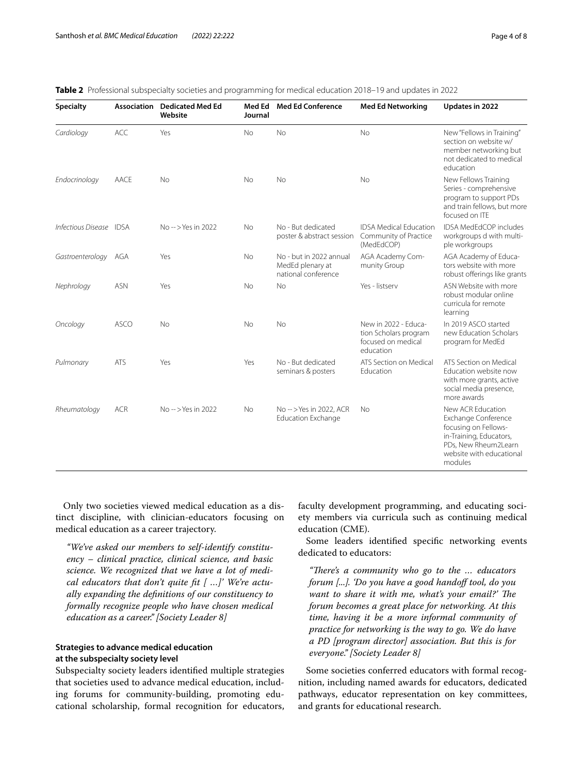| Page 4 of 8 |  |  |
|-------------|--|--|
|             |  |  |

| <b>Specialty</b>        | <b>Association</b> | <b>Dedicated Med Ed</b><br>Website | Med Ed<br>Journal | <b>Med Ed Conference</b>                                           | <b>Med Ed Networking</b>                                                         | Updates in 2022                                                                                                                                            |
|-------------------------|--------------------|------------------------------------|-------------------|--------------------------------------------------------------------|----------------------------------------------------------------------------------|------------------------------------------------------------------------------------------------------------------------------------------------------------|
| Cardiology              | <b>ACC</b>         | Yes                                | <b>No</b>         | No                                                                 | No                                                                               | New "Fellows in Training"<br>section on website w/<br>member networking but<br>not dedicated to medical<br>education                                       |
| Endocrinology           | AACE               | No                                 | <b>No</b>         | <b>No</b>                                                          | <b>No</b>                                                                        | New Fellows Training<br>Series - comprehensive<br>program to support PDs<br>and train fellows, but more<br>focused on ITE                                  |
| Infectious Disease IDSA |                    | $No - > Yes$ in 2022               | No.               | No - But dedicated<br>poster & abstract session                    | <b>IDSA Medical Education</b><br>Community of Practice<br>(MedEdCOP)             | <b>IDSA MedEdCOP includes</b><br>workgroups d with multi-<br>ple workgroups                                                                                |
| Gastroenterology AGA    |                    | Yes                                | <b>No</b>         | No - but in 2022 annual<br>MedEd plenary at<br>national conference | AGA Academy Com-<br>munity Group                                                 | AGA Academy of Educa-<br>tors website with more<br>robust offerings like grants                                                                            |
| Nephrology              | <b>ASN</b>         | Yes                                | No                | <b>No</b>                                                          | Yes - listserv                                                                   | ASN Website with more<br>robust modular online<br>curricula for remote<br>learning                                                                         |
| Oncology                | <b>ASCO</b>        | No                                 | No                | N <sub>o</sub>                                                     | New in 2022 - Educa-<br>tion Scholars program<br>focused on medical<br>education | In 2019 ASCO started<br>new Education Scholars<br>program for MedEd                                                                                        |
| Pulmonary               | <b>ATS</b>         | Yes                                | Yes               | No - But dedicated<br>seminars & posters                           | ATS Section on Medical<br>Education                                              | ATS Section on Medical<br>Education website now<br>with more grants, active<br>social media presence,<br>more awards                                       |
| Rheumatology            | <b>ACR</b>         | No->Yes in 2022                    | No                | No-->Yes in 2022, ACR<br><b>Education Exchange</b>                 | <b>No</b>                                                                        | New ACR Education<br>Exchange Conference<br>focusing on Fellows-<br>in-Training, Educators,<br>PDs, New Rheum2Learn<br>website with educational<br>modules |

<span id="page-3-0"></span>

|  |  |  | <b>Table 2</b> Professional subspecialty societies and programming for medical education 2018–19 and updates in 2022 |  |  |  |  |  |  |  |  |
|--|--|--|----------------------------------------------------------------------------------------------------------------------|--|--|--|--|--|--|--|--|
|--|--|--|----------------------------------------------------------------------------------------------------------------------|--|--|--|--|--|--|--|--|

Only two societies viewed medical education as a distinct discipline, with clinician-educators focusing on medical education as a career trajectory.

*"We've asked our members to self-identify constituency – clinical practice, clinical science, and basic science. We recognized that we have a lot of medical educators that don't quite ft [ …]' We're actually expanding the defnitions of our constituency to formally recognize people who have chosen medical education as a career." [Society Leader 8]*

## **Strategies to advance medical education at the subspecialty society level**

Subspecialty society leaders identifed multiple strategies that societies used to advance medical education, including forums for community-building, promoting educational scholarship, formal recognition for educators, faculty development programming, and educating society members via curricula such as continuing medical education (CME).

Some leaders identifed specifc networking events dedicated to educators:

*"Tere's a community who go to the … educators forum [...]. 'Do you have a good handoff tool, do you want to share it with me, what's your email?' The forum becomes a great place for networking. At this time, having it be a more informal community of practice for networking is the way to go. We do have a PD [program director] association. But this is for everyone." [Society Leader 8]*

Some societies conferred educators with formal recognition, including named awards for educators, dedicated pathways, educator representation on key committees, and grants for educational research.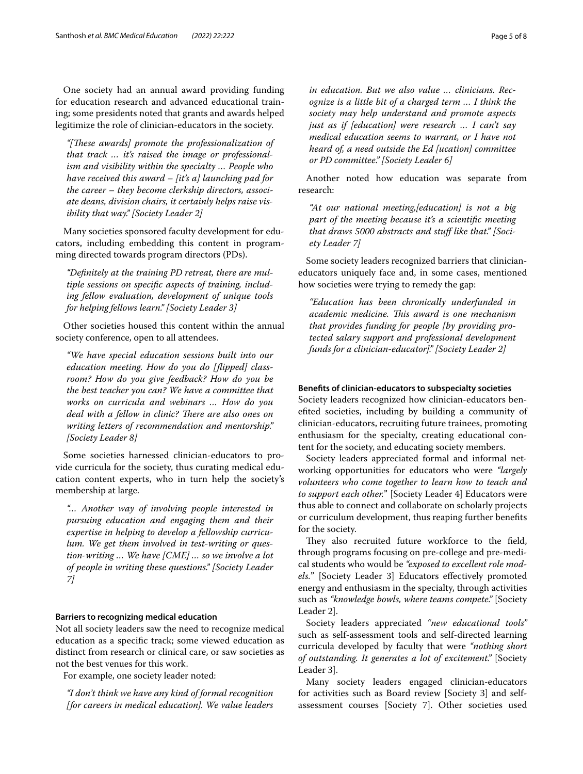One society had an annual award providing funding for education research and advanced educational training; some presidents noted that grants and awards helped legitimize the role of clinician-educators in the society.

*"[Tese awards] promote the professionalization of that track … it's raised the image or professionalism and visibility within the specialty … People who have received this award – [it's a] launching pad for the career – they become clerkship directors, associate deans, division chairs, it certainly helps raise visibility that way." [Society Leader 2]*

Many societies sponsored faculty development for educators, including embedding this content in programming directed towards program directors (PDs).

*"Defnitely at the training PD retreat, there are multiple sessions on specifc aspects of training, including fellow evaluation, development of unique tools for helping fellows learn." [Society Leader 3]*

Other societies housed this content within the annual society conference, open to all attendees.

*"We have special education sessions built into our education meeting. How do you do [fipped] classroom? How do you give feedback? How do you be the best teacher you can? We have a committee that works on curricula and webinars … How do you deal with a fellow in clinic? There are also ones on writing letters of recommendation and mentorship." [Society Leader 8]*

Some societies harnessed clinician-educators to provide curricula for the society, thus curating medical education content experts, who in turn help the society's membership at large.

*"… Another way of involving people interested in pursuing education and engaging them and their expertise in helping to develop a fellowship curriculum. We get them involved in test-writing or question-writing … We have [CME] … so we involve a lot of people in writing these questions." [Society Leader 7]*

## **Barriers to recognizing medical education**

Not all society leaders saw the need to recognize medical education as a specifc track; some viewed education as distinct from research or clinical care, or saw societies as not the best venues for this work.

For example, one society leader noted:

*"I don't think we have any kind of formal recognition [for careers in medical education]. We value leaders*  *in education. But we also value … clinicians. Recognize is a little bit of a charged term … I think the society may help understand and promote aspects just as if [education] were research … I can't say medical education seems to warrant, or I have not heard of, a need outside the Ed [ucation] committee or PD committee." [Society Leader 6]*

Another noted how education was separate from research:

*"At our national meeting,[education] is not a big part of the meeting because it's a scientifc meeting that draws 5000 abstracts and stuf like that." [Society Leader 7]*

Some society leaders recognized barriers that clinicianeducators uniquely face and, in some cases, mentioned how societies were trying to remedy the gap:

*"Education has been chronically underfunded in academic medicine. Tis award is one mechanism that provides funding for people [by providing protected salary support and professional development funds for a clinician-educator]." [Society Leader 2]*

## **Benefts of clinician‑educators to subspecialty societies**

Society leaders recognized how clinician-educators benefted societies, including by building a community of clinician-educators, recruiting future trainees, promoting enthusiasm for the specialty, creating educational content for the society, and educating society members.

Society leaders appreciated formal and informal networking opportunities for educators who were *"largely volunteers who come together to learn how to teach and to support each other.*" [Society Leader 4] Educators were thus able to connect and collaborate on scholarly projects or curriculum development, thus reaping further benefts for the society.

They also recruited future workforce to the field, through programs focusing on pre-college and pre-medical students who would be *"exposed to excellent role models.*" [Society Leader 3] Educators efectively promoted energy and enthusiasm in the specialty, through activities such as *"knowledge bowls, where teams compete."* [Society Leader 2].

Society leaders appreciated *"new educational tools"* such as self-assessment tools and self-directed learning curricula developed by faculty that were *"nothing short of outstanding. It generates a lot of excitement."* [Society Leader 3].

Many society leaders engaged clinician-educators for activities such as Board review [Society 3] and selfassessment courses [Society 7]. Other societies used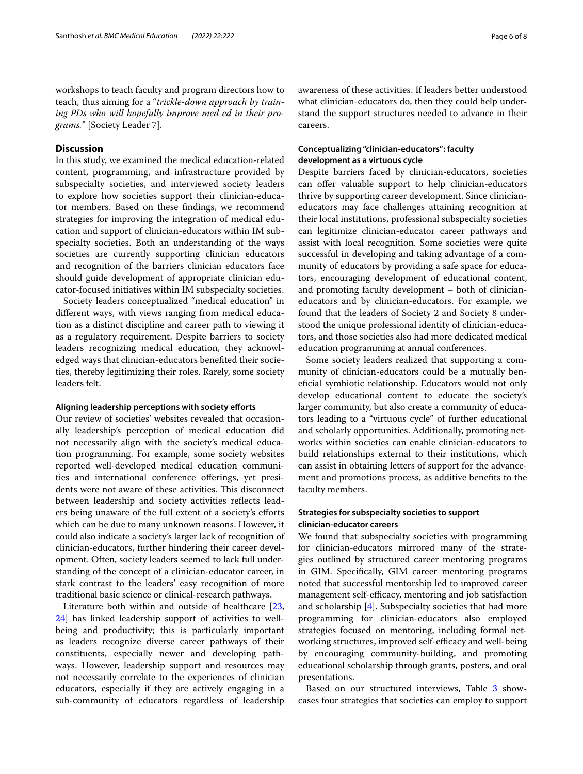## **Discussion**

In this study, we examined the medical education-related content, programming, and infrastructure provided by subspecialty societies, and interviewed society leaders to explore how societies support their clinician-educator members. Based on these fndings, we recommend strategies for improving the integration of medical education and support of clinician-educators within IM subspecialty societies. Both an understanding of the ways societies are currently supporting clinician educators and recognition of the barriers clinician educators face should guide development of appropriate clinician educator-focused initiatives within IM subspecialty societies.

Society leaders conceptualized "medical education" in diferent ways, with views ranging from medical education as a distinct discipline and career path to viewing it as a regulatory requirement. Despite barriers to society leaders recognizing medical education, they acknowledged ways that clinician-educators benefted their societies, thereby legitimizing their roles. Rarely, some society leaders felt.

### **Aligning leadership perceptions with society eforts**

Our review of societies' websites revealed that occasionally leadership's perception of medical education did not necessarily align with the society's medical education programming. For example, some society websites reported well-developed medical education communities and international conference offerings, yet presidents were not aware of these activities. This disconnect between leadership and society activities refects leaders being unaware of the full extent of a society's eforts which can be due to many unknown reasons. However, it could also indicate a society's larger lack of recognition of clinician-educators, further hindering their career development. Often, society leaders seemed to lack full understanding of the concept of a clinician-educator career, in stark contrast to the leaders' easy recognition of more traditional basic science or clinical-research pathways.

Literature both within and outside of healthcare [\[23](#page-7-15), [24\]](#page-7-16) has linked leadership support of activities to wellbeing and productivity; this is particularly important as leaders recognize diverse career pathways of their constituents, especially newer and developing pathways. However, leadership support and resources may not necessarily correlate to the experiences of clinician educators, especially if they are actively engaging in a sub-community of educators regardless of leadership awareness of these activities. If leaders better understood what clinician-educators do, then they could help understand the support structures needed to advance in their careers.

## **Conceptualizing "clinician‑educators": faculty development as a virtuous cycle**

Despite barriers faced by clinician-educators, societies can offer valuable support to help clinician-educators thrive by supporting career development. Since clinicianeducators may face challenges attaining recognition at their local institutions, professional subspecialty societies can legitimize clinician-educator career pathways and assist with local recognition. Some societies were quite successful in developing and taking advantage of a community of educators by providing a safe space for educators, encouraging development of educational content, and promoting faculty development – both of clinicianeducators and by clinician-educators. For example, we found that the leaders of Society 2 and Society 8 understood the unique professional identity of clinician-educators, and those societies also had more dedicated medical education programming at annual conferences.

Some society leaders realized that supporting a community of clinician-educators could be a mutually benefcial symbiotic relationship. Educators would not only develop educational content to educate the society's larger community, but also create a community of educators leading to a "virtuous cycle" of further educational and scholarly opportunities. Additionally, promoting networks within societies can enable clinician-educators to build relationships external to their institutions, which can assist in obtaining letters of support for the advancement and promotions process, as additive benefts to the faculty members.

## **Strategies for subspecialty societies to support clinician‑educator careers**

We found that subspecialty societies with programming for clinician-educators mirrored many of the strategies outlined by structured career mentoring programs in GIM. Specifcally, GIM career mentoring programs noted that successful mentorship led to improved career management self-efficacy, mentoring and job satisfaction and scholarship [\[4](#page-6-1)]. Subspecialty societies that had more programming for clinician-educators also employed strategies focused on mentoring, including formal networking structures, improved self-efficacy and well-being by encouraging community-building, and promoting educational scholarship through grants, posters, and oral presentations.

Based on our structured interviews, Table [3](#page-6-5) showcases four strategies that societies can employ to support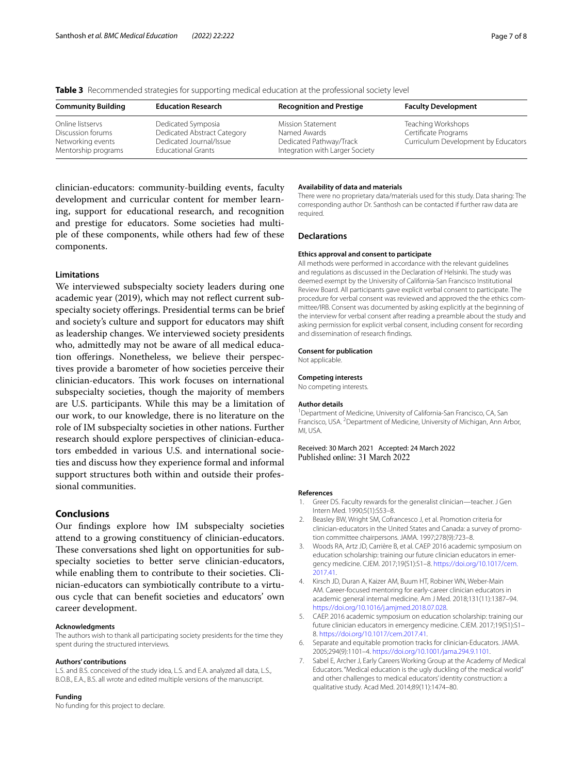<span id="page-6-5"></span>

|  |  |  |  |  | Table 3 Recommended strategies for supporting medical education at the professional society level |  |
|--|--|--|--|--|---------------------------------------------------------------------------------------------------|--|
|--|--|--|--|--|---------------------------------------------------------------------------------------------------|--|

| <b>Community Building</b>                                                         | <b>Education Research</b>                                                                                 | <b>Recognition and Prestige</b>                                                                        | <b>Faculty Development</b>                                                        |
|-----------------------------------------------------------------------------------|-----------------------------------------------------------------------------------------------------------|--------------------------------------------------------------------------------------------------------|-----------------------------------------------------------------------------------|
| Online listservs<br>Discussion forums<br>Networking events<br>Mentorship programs | Dedicated Symposia<br>Dedicated Abstract Category<br>Dedicated Journal/Issue<br><b>Educational Grants</b> | <b>Mission Statement</b><br>Named Awards<br>Dedicated Pathway/Track<br>Integration with Larger Society | Teaching Workshops<br>Certificate Programs<br>Curriculum Development by Educators |

clinician-educators: community-building events, faculty development and curricular content for member learning, support for educational research, and recognition and prestige for educators. Some societies had multiple of these components, while others had few of these components.

## **Limitations**

We interviewed subspecialty society leaders during one academic year (2019), which may not refect current subspecialty society oferings. Presidential terms can be brief and society's culture and support for educators may shift as leadership changes. We interviewed society presidents who, admittedly may not be aware of all medical education oferings. Nonetheless, we believe their perspectives provide a barometer of how societies perceive their clinician-educators. This work focuses on international subspecialty societies, though the majority of members are U.S. participants. While this may be a limitation of our work, to our knowledge, there is no literature on the role of IM subspecialty societies in other nations. Further research should explore perspectives of clinician-educators embedded in various U.S. and international societies and discuss how they experience formal and informal support structures both within and outside their professional communities.

## **Conclusions**

Our fndings explore how IM subspecialty societies attend to a growing constituency of clinician-educators. These conversations shed light on opportunities for subspecialty societies to better serve clinician-educators, while enabling them to contribute to their societies. Clinician-educators can symbiotically contribute to a virtuous cycle that can beneft societies and educators' own career development.

#### **Acknowledgments**

The authors wish to thank all participating society presidents for the time they spent during the structured interviews.

#### **Authors' contributions**

L.S. and B.S. conceived of the study idea, L.S. and E.A. analyzed all data, L.S., B.O.B., E.A., B.S. all wrote and edited multiple versions of the manuscript.

#### **Funding**

No funding for this project to declare.

### **Availability of data and materials**

There were no proprietary data/materials used for this study. Data sharing: The corresponding author Dr. Santhosh can be contacted if further raw data are required.

#### **Declarations**

#### **Ethics approval and consent to participate**

All methods were performed in accordance with the relevant guidelines and regulations as discussed in the Declaration of Helsinki. The study was deemed exempt by the University of California-San Francisco Institutional Review Board. All participants gave explicit verbal consent to participate. The procedure for verbal consent was reviewed and approved the the ethics committee/IRB. Consent was documented by asking explicitly at the beginning of the interview for verbal consent after reading a preamble about the study and asking permission for explicit verbal consent, including consent for recording and dissemination of research fndings.

### **Consent for publication**

Not applicable.

#### **Competing interests**

No competing interests.

#### **Author details**

<sup>1</sup> Department of Medicine, University of California-San Francisco, CA, San Francisco, USA. <sup>2</sup> Department of Medicine, University of Michigan, Ann Arbor, MI, USA.

Received: 30 March 2021 Accepted: 24 March 2022 Published online: 31 March 2022

#### **References**

- <span id="page-6-0"></span>1. Greer DS. Faculty rewards for the generalist clinician—teacher. J Gen Intern Med. 1990;5(1):S53–8.
- 2. Beasley BW, Wright SM, Cofrancesco J, et al. Promotion criteria for clinician-educators in the United States and Canada: a survey of promotion committee chairpersons. JAMA. 1997;278(9):723–8.
- 3. Woods RA, Artz JD, Carrière B, et al. CAEP 2016 academic symposium on education scholarship: training our future clinician educators in emergency medicine. CJEM. 2017;19(S1):S1–8. [https://doi.org/10.1017/cem.](https://doi.org/10.1017/cem.2017.41) [2017.41.](https://doi.org/10.1017/cem.2017.41)
- <span id="page-6-1"></span>4. Kirsch JD, Duran A, Kaizer AM, Buum HT, Robiner WN, Weber-Main AM. Career-focused mentoring for early-career clinician educators in academic general internal medicine. Am J Med. 2018;131(11):1387–94. <https://doi.org/10.1016/j.amjmed.2018.07.028>.
- <span id="page-6-2"></span>5. CAEP. 2016 academic symposium on education scholarship: training our future clinician educators in emergency medicine. CJEM. 2017;19(S1):S1– 8. [https://doi.org/10.1017/cem.2017.41.](https://doi.org/10.1017/cem.2017.41)
- <span id="page-6-3"></span>6. Separate and equitable promotion tracks for clinician-Educators. JAMA. 2005;294(9):1101–4. <https://doi.org/10.1001/jama.294.9.1101>.
- <span id="page-6-4"></span>7. Sabel E, Archer J, Early Careers Working Group at the Academy of Medical Educators. "Medical education is the ugly duckling of the medical world" and other challenges to medical educators' identity construction: a qualitative study. Acad Med. 2014;89(11):1474–80.